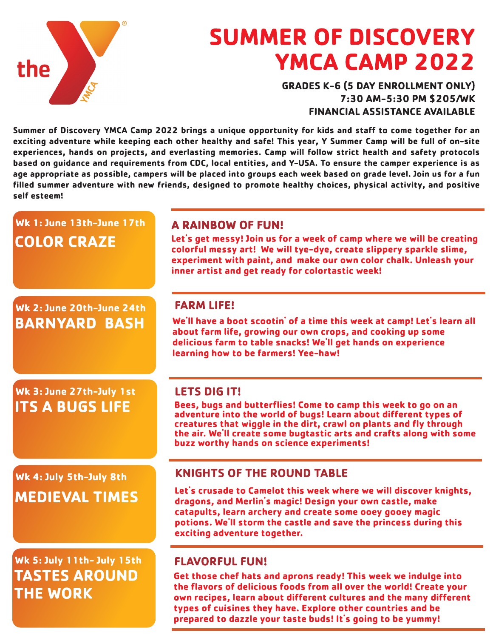

# **SUMMER OF DISCOVERY** YMCA CAMP 2022

**GRADES K-6 (5 DAY ENROLLMENT ONLY)** 7:30 AM-5:30 PM \$205/WK FINANCIAL ASSISTANCE AVAILABLE

Summer of Discovery YMCA Camp 2022 brings a unique opportunity for kids and staff to come together for an exciting adventure while keeping each other healthy and safe! This year, Y Summer Camp will be full of on-site experiences, hands on projects, and everlasting memories. Camp will follow strict health and safety protocols based on guidance and requirements from CDC, local entities, and Y-USA. To ensure the camper experience is as age appropriate as possible, campers will be placed into groups each week based on grade level. Join us for a fun filled summer adventure with new friends, designed to promote healthy choices, physical activity, and positive self esteem!

#### **A RAINBOW OF FUN!** Let's get messy! Join us for a week of camp where we will be creating colorful messy art! We will tye-dye, create slippery sparkle slime, experiment with paint, and make our own color chalk. Unleash your inner artist and get ready for colortastic week! We'll have a boot scootin' of a time this week at camp! Let's learn all about farm life, growing our own crops, and cooking up some delicious farm to table snacks! We'll get hands on experience learning how to be farmers! Yee-haw! **LETS DIG IT!** Bees, bugs and butterflies! Come to camp this week to go on an adventure into the world of bugs! Learn about different types of creatures that wiggle in the dirt, crawl on plants and fly through the air. We'll create some bugtastic arts and crafts along with some buzz worthy hands on science experiments! KNIGHTS OF THE ROUND TABLE Let's crusade to Camelot this week where we will discover knights, dragons, and Merlin's magic! Design your own castle, make catapults, learn archery and create some ooey gooey magic potions. We'll storm the castle and save the princess during this exciting adventure together. Wk 2: June 20th-June 24th BARNYARD BASH Wk 3: June 27th-July 1st **ITS A BUGS LIFE** Wk 4: July 5th-July 8th MEDIEVAL TIMES  $Wk 1: June 13th-June 17th$ COLOR CRAZE Wk 5: July 11th- July 15th **TASTES AROUND THE WORK** Get those chef hats and aprons ready! This week we indulge into the flavors of delicious foods from all over the world! Create your own recipes, learn about different cultures and the many different types of cuisines they have. Explore other countries and be FLAVORFUL FUN! FARM LIFE!

prepared to dazzle your taste buds! It's going to be yummy!